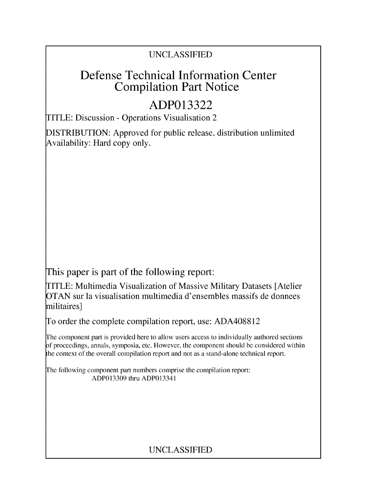### UNCLASSIFIED

## Defense Technical Information Center Compilation Part Notice

# **ADP013322**

TITLE: Discussion - Operations Visualisation 2

DISTRIBUTION: Approved for public release, distribution unlimited Availability: Hard copy only.

This paper is part of the following report:

TITLE: Multimedia Visualization of Massive Military Datasets [Atelier OTAN sur la visualisation multimedia d'ensembles massifs de donnees militaires]

To order the complete compilation report, use: ADA408812

The component part is provided here to allow users access to individually authored sections **)f** proceedings, annals, symposia, etc. However, the component should be considered within [he context of the overall compilation report and not as a stand-alone technical report.

The following component part numbers comprise the compilation report: ADP013309 thru ADP013341

## UNCLASSIFIED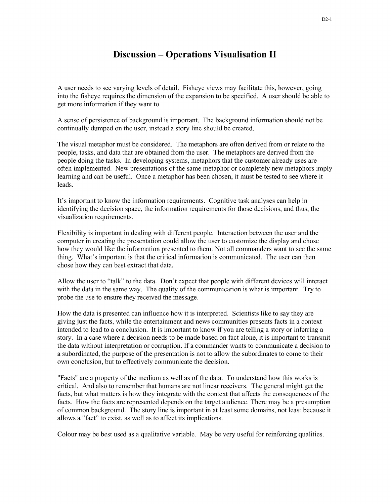#### Discussion - Operations Visualisation **II**

A user needs to see varying levels of detail. Fisheye views may facilitate this, however, going into the fisheye requires the dimension of the expansion to be specified. A user should be able to get more information if they want to.

A sense of persistence of background is important. The background information should not be continually dumped on the user, instead a story line should be created.

The visual metaphor must be considered. The metaphors are often derived from or relate to the people, tasks, and data that are obtained from the user. The metaphors are derived from the people doing the tasks. In developing systems, metaphors that the customer already uses are often implemented. New presentations of the same metaphor or completely new metaphors imply learning and can be useful. Once a metaphor has been chosen, it must be tested to see where it leads.

It's important to know the information requirements. Cognitive task analyses can help in identifying the decision space, the information requirements for those decisions, and thus, the visualization requirements.

Flexibility is important in dealing with different people. Interaction between the user and the computer in creating the presentation could allow the user to customize the display and chose how they would like the information presented to them. Not all commanders want to see the same thing. What's important is that the critical information is communicated. The user can then chose how they can best extract that data.

Allow the user to "talk" to the data. Don't expect that people with different devices will interact with the data in the same way. The quality of the communication is what is important. Try to probe the use to ensure they received the message.

How the data is presented can influence how it is interpreted. Scientists like to say they are giving just the facts, while the entertainment and news communities presents facts in a context intended to lead to a conclusion. It is important to know if you are telling a story or inferring a story. In a case where a decision needs to be made based on fact alone, it is important to transmit the data without interpretation or corruption. If a commander wants to communicate a decision to a subordinated, the purpose of the presentation is not to allow the subordinates to come to their own conclusion, but to effectively communicate the decision.

"Facts" are a property of the medium as well as of the data. To understand how this works is critical. And also to remember that humans are not linear receivers. The general might get the facts, but what matters is how they integrate with the context that affects the consequences of the facts. How the facts are represented depends on the target audience. There may be a presumption of common background. The story line is important in at least some domains, not least because it allows a "fact" to exist, as well as to affect its implications.

Colour may be best used as a qualitative variable. May be very useful for reinforcing qualities.